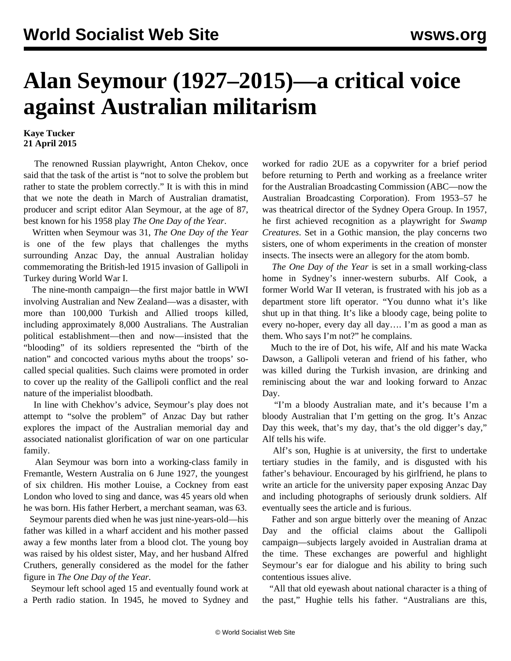## **Alan Seymour (1927–2015)—a critical voice against Australian militarism**

## **Kaye Tucker 21 April 2015**

 The renowned Russian playwright, Anton Chekov, once said that the task of the artist is "not to solve the problem but rather to state the problem correctly." It is with this in mind that we note the death in March of Australian dramatist, producer and script editor Alan Seymour, at the age of 87, best known for his 1958 play *The One Day of the Year*.

 Written when Seymour was 31, *The One Day of the Year* is one of the few plays that challenges the myths surrounding Anzac Day, the annual Australian holiday commemorating the British-led 1915 invasion of Gallipoli in Turkey during World War I.

 The nine-month campaign—the first major battle in WWI involving Australian and New Zealand—was a disaster, with more than 100,000 Turkish and Allied troops killed, including approximately 8,000 Australians. The Australian political establishment—then and now—insisted that the "blooding" of its soldiers represented the "birth of the nation" and concocted various myths about the troops' socalled special qualities. Such claims were promoted in order to cover up the reality of the Gallipoli conflict and the real nature of the imperialist bloodbath.

 In line with Chekhov's advice, Seymour's play does not attempt to "solve the problem" of Anzac Day but rather explores the impact of the Australian memorial day and associated nationalist glorification of war on one particular family.

 Alan Seymour was born into a working-class family in Fremantle, Western Australia on 6 June 1927, the youngest of six children. His mother Louise, a Cockney from east London who loved to sing and dance, was 45 years old when he was born. His father Herbert, a merchant seaman, was 63.

 Seymour parents died when he was just nine-years-old—his father was killed in a wharf accident and his mother passed away a few months later from a blood clot. The young boy was raised by his oldest sister, May, and her husband Alfred Cruthers, generally considered as the model for the father figure in *The One Day of the Year.*

 Seymour left school aged 15 and eventually found work at a Perth radio station. In 1945, he moved to Sydney and worked for radio 2UE as a copywriter for a brief period before returning to Perth and working as a freelance writer for the Australian Broadcasting Commission (ABC—now the Australian Broadcasting Corporation). From 1953–57 he was theatrical director of the Sydney Opera Group. In 1957, he first achieved recognition as a playwright for *Swamp Creatures*. Set in a Gothic mansion, the play concerns two sisters, one of whom experiments in the creation of monster insects. The insects were an allegory for the atom bomb.

 *The One Day of the Year* is set in a small working-class home in Sydney's inner-western suburbs. Alf Cook, a former World War II veteran, is frustrated with his job as a department store lift operator. "You dunno what it's like shut up in that thing. It's like a bloody cage, being polite to every no-hoper, every day all day…. I'm as good a man as them. Who says I'm not?" he complains.

 Much to the ire of Dot, his wife, Alf and his mate Wacka Dawson, a Gallipoli veteran and friend of his father, who was killed during the Turkish invasion, are drinking and reminiscing about the war and looking forward to Anzac Day.

 "I'm a bloody Australian mate, and it's because I'm a bloody Australian that I'm getting on the grog. It's Anzac Day this week, that's my day, that's the old digger's day," Alf tells his wife.

 Alf's son, Hughie is at university, the first to undertake tertiary studies in the family, and is disgusted with his father's behaviour. Encouraged by his girlfriend, he plans to write an article for the university paper exposing Anzac Day and including photographs of seriously drunk soldiers. Alf eventually sees the article and is furious.

 Father and son argue bitterly over the meaning of Anzac Day and the official claims about the Gallipoli campaign—subjects largely avoided in Australian drama at the time. These exchanges are powerful and highlight Seymour's ear for dialogue and his ability to bring such contentious issues alive.

 "All that old eyewash about national character is a thing of the past," Hughie tells his father. "Australians are this,